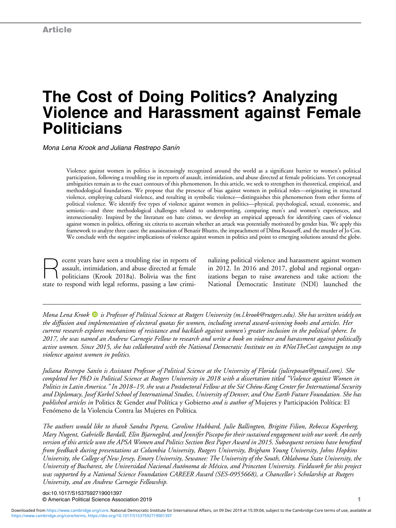# The Cost of Doing Politics? Analyzing Violence and Harassment against Female **Politicians**

Mona Lena Krook and Juliana Restrepo Sanín

Violence against women in politics is increasingly recognized around the world as a significant barrier to women's political participation, following a troubling rise in reports of assault, intimidation, and abuse directed at female politicians. Yet conceptual ambiguities remain as to the exact contours of this phenomenon. In this article, we seek to strengthen its theoretical, empirical, and methodological foundations. We propose that the presence of bias against women in political roles—originating in structural violence, employing cultural violence, and resulting in symbolic violence—distinguishes this phenomenon from other forms of political violence. We identify five types of violence against women in politics—physical, psychological, sexual, economic, and semiotic—and three methodological challenges related to underreporting, comparing men's and women's experiences, and intersectionality. Inspired by the literature on hate crimes, we develop an empirical approach for identifying cases of violence against women in politics, offering six criteria to ascertain whether an attack was potentially motivated by gender bias. We apply this framework to analyze three cases: the assassination of Benazir Bhutto, the impeachment of Dilma Rousseff, and the murder of Jo Cox. We conclude with the negative implications of violence against women in politics and point to emerging solutions around the globe.

Recent years have seen a troubling rise in reports of<br>assault, intimidation, and abuse directed at female<br>politicians (Krook 2018a). Bolivia was the first assault, intimidation, and abuse directed at female politicians (Krook 2018a). Bolivia was the first state to respond with legal reforms, passing a law crimi-

nalizing political violence and harassment against women in 2012. In 2016 and 2017, global and regional organizations began to raise awareness and take action: the National Democratic Institute (NDI) launched the

Mona Lena Krook  $\bullet$  is Professor of Political Science at Rutgers University ([m.l.krook@rutgers.edu\)](mailto:m.l.krook@rutgers.edu). She has written widely on the diffusion and implementation of electoral quotas for women, including several award-winning books and articles. Her current research explores mechanisms of resistance and backlash against women's greater inclusion in the political sphere. In 2017, she was named an Andrew Carnegie Fellow to research and write a book on violence and harassment against politically active women. Since 2015, she has collaborated with the National Democratic Institute on its #NotTheCost campaign to stop violence against women in politics.

Juliana Restrepo Sanín is Assistant Professor of Political Science at the University of Florida ([julireposan@gmail.com](mailto:julireposan@gmail.com)). She completed her PhD in Political Science at Rutgers University in 2018 with a dissertation titled "Violence against Women in Politics in Latin America." In 2018–19, she was a Postdoctoral Fellow at the Sié Chéou-Kang Center for International Security and Diplomacy, Josef Korbel School of International Studies, University of Denver, and One Earth Future Foundation. She has published articles in Politics & Gender and Política y Gobierno and is author of Mujeres y Participación Política: El Fenómeno de la Violencia Contra las Mujeres en Política.

The authors would like to thank Sandra Pepera, Caroline Hubbard, Julie Ballington, Brigitte Filion, Rebecca Kuperberg, Mary Nugent, Gabrielle Bardall, Elin Bjarnegård, and Jennifer Piscopo for their sustained engagement with our work. An early version of this article won the APSA Women and Politics Section Best Paper Award in 2015. Subsequent versions have benefited from feedback during presentations at Columbia University, Rutgers University, Brigham Young University, Johns Hopkins University, the College of New Jersey, Emory University, Sewanee: The University of the South, Oklahoma State University, the University of Bucharest, the Universidad Nacional Autónoma de México, and Princeton University. Fieldwork for this project was supported by a National Science Foundation CAREER Award (SES-0955668), a Chancellor's Scholarship at Rutgers University, and an Andrew Carnegie Fellowship.

doi:10.1017/S1537592719001397 © American Political Science Association 2019 1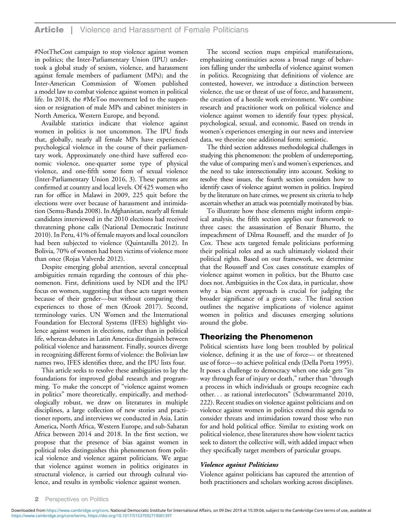#NotTheCost campaign to stop violence against women in politics; the Inter-Parliamentary Union (IPU) undertook a global study of sexism, violence, and harassment against female members of parliament (MPs); and the Inter-American Commission of Women published a model law to combat violence against women in political life. In 2018, the #MeToo movement led to the suspension or resignation of male MPs and cabinet ministers in North America, Western Europe, and beyond.

Available statistics indicate that violence against women in politics is not uncommon. The IPU finds that, globally, nearly all female MPs have experienced psychological violence in the course of their parliamentary work. Approximately one-third have suffered economic violence, one-quarter some type of physical violence, and one-fifth some form of sexual violence (Inter-Parliamentary Union 2016, 3). These patterns are confirmed at country and local levels. Of 425 women who ran for office in Malawi in 2009, 225 quit before the elections were over because of harassment and intimidation (Semu-Banda 2008). In Afghanistan, nearly all female candidates interviewed in the 2010 elections had received threatening phone calls (National Democratic Institute 2010). In Peru, 41% of female mayors and local councilors had been subjected to violence (Quintanilla 2012). In Bolivia, 70% of women had been victims of violence more than once (Rojas Valverde 2012).

Despite emerging global attention, several conceptual ambiguities remain regarding the contours of this phenomenon. First, definitions used by NDI and the IPU focus on women, suggesting that these acts target women because of their gender—but without comparing their experiences to those of men (Krook 2017). Second, terminology varies. UN Women and the International Foundation for Electoral Systems (IFES) highlight violence against women in elections, rather than in political life, whereas debates in Latin America distinguish between political violence and harassment. Finally, sources diverge in recognizing different forms of violence: the Bolivian law names two, IFES identifies three, and the IPU lists four.

This article seeks to resolve these ambiguities to lay the foundations for improved global research and programming. To make the concept of "violence against women in politics" more theoretically, empirically, and methodologically robust, we draw on literatures in multiple disciplines, a large collection of new stories and practitioner reports, and interviews we conducted in Asia, Latin America, North Africa, Western Europe, and sub-Saharan Africa between 2014 and 2018. In the first section, we propose that the presence of bias against women in political roles distinguishes this phenomenon from political violence and violence against politicians. We argue that violence against women in politics originates in structural violence, is carried out through cultural violence, and results in symbolic violence against women.

The second section maps empirical manifestations, emphasizing continuities across a broad range of behaviors falling under the umbrella of violence against women in politics. Recognizing that definitions of violence are contested, however, we introduce a distinction between violence, the use or threat of use of force, and harassment, the creation of a hostile work environment. We combine research and practitioner work on political violence and violence against women to identify four types: physical, psychological, sexual, and economic. Based on trends in women's experiences emerging in our news and interview data, we theorize one additional form: semiotic.

The third section addresses methodological challenges in studying this phenomenon: the problem of underreporting, the value of comparing men's and women's experiences, and the need to take intersectionality into account. Seeking to resolve these issues, the fourth section considers how to identify cases of violence against women in politics. Inspired by the literature on hate crimes, we present six criteria to help ascertain whether an attack was potentially motivated by bias.

To illustrate how these elements might inform empirical analysis, the fifth section applies our framework to three cases: the assassination of Benazir Bhutto, the impeachment of Dilma Rousseff, and the murder of Jo Cox. These acts targeted female politicians performing their political roles and as such ultimately violated their political rights. Based on our framework, we determine that the Rousseff and Cox cases constitute examples of violence against women in politics, but the Bhutto case does not. Ambiguities in the Cox data, in particular, show why a bias event approach is crucial for judging the broader significance of a given case. The final section outlines the negative implications of violence against women in politics and discusses emerging solutions around the globe.

# Theorizing the Phenomenon

Political scientists have long been troubled by political violence, defining it as the use of force— or threatened use of force—to achieve political ends (Della Porta 1995). It poses a challenge to democracy when one side gets "its way through fear of injury or death," rather than "through a process in which individuals or groups recognize each other... as rational interlocutors" (Schwarzmantel 2010, 222). Recent studies on violence against politicians and on violence against women in politics extend this agenda to consider threats and intimidation toward those who run for and hold political office. Similar to existing work on political violence, these literatures show how violent tactics seek to distort the collective will, with added impact when they specifically target members of particular groups.

#### Violence against Politicians

Violence against politicians has captured the attention of both practitioners and scholars working across disciplines.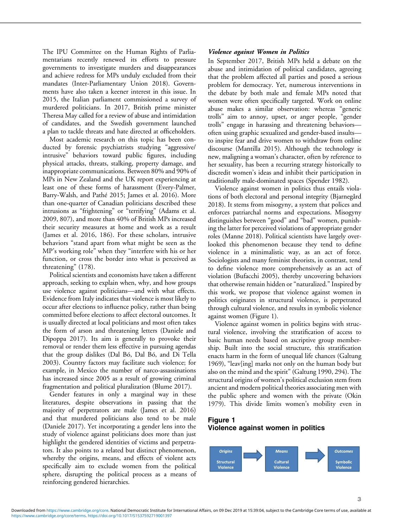The IPU Committee on the Human Rights of Parliamentarians recently renewed its efforts to pressure governments to investigate murders and disappearances and achieve redress for MPs unduly excluded from their mandates (Inter-Parliamentary Union 2018). Governments have also taken a keener interest in this issue. In 2015, the Italian parliament commissioned a survey of murdered politicians. In 2017, British prime minister Theresa May called for a review of abuse and intimidation of candidates, and the Swedish government launched a plan to tackle threats and hate directed at officeholders.

Most academic research on this topic has been conducted by forensic psychiatrists studying "aggressive/ intrusive" behaviors toward public figures, including physical attacks, threats, stalking, property damage, and inappropriate communications. Between 80% and 90% of MPs in New Zealand and the UK report experiencing at least one of these forms of harassment (Every-Palmer, Barry-Walsh, and Pathé 2015; James et al. 2016). More than one-quarter of Canadian politicians described these intrusions as "frightening" or "terrifying" (Adams et al. 2009, 807), and more than 40% of British MPs increased their security measures at home and work as a result (James et al. 2016, 186). For these scholars, intrusive behaviors "stand apart from what might be seen as the MP's working role" when they "interfere with his or her function, or cross the border into what is perceived as threatening" (178).

Political scientists and economists have taken a different approach, seeking to explain when, why, and how groups use violence against politicians—and with what effects. Evidence from Italy indicates that violence is most likely to occur after elections to influence policy, rather than being committed before elections to affect electoral outcomes. It is usually directed at local politicians and most often takes the form of arson and threatening letters (Daniele and Dipoppa 2017). Its aim is generally to provoke their removal or render them less effective in pursuing agendas that the group dislikes (Dal Bó, Dal Bó, and Di Tella 2003). Country factors may facilitate such violence; for example, in Mexico the number of narco-assassinations has increased since 2005 as a result of growing criminal fragmentation and political pluralization (Blume 2017).

Gender features in only a marginal way in these literatures, despite observations in passing that the majority of perpetrators are male (James et al. 2016) and that murdered politicians also tend to be male (Daniele 2017). Yet incorporating a gender lens into the study of violence against politicians does more than just highlight the gendered identities of victims and perpetrators. It also points to a related but distinct phenomenon, whereby the origins, means, and effects of violent acts specifically aim to exclude women from the political sphere, disrupting the political process as a means of reinforcing gendered hierarchies.

#### Violence against Women in Politics

In September 2017, British MPs held a debate on the abuse and intimidation of political candidates, agreeing that the problem affected all parties and posed a serious problem for democracy. Yet, numerous interventions in the debate by both male and female MPs noted that women were often specifically targeted. Work on online abuse makes a similar observation: whereas "generic trolls" aim to annoy, upset, or anger people, "gender trolls" engage in harassing and threatening behaviors often using graphic sexualized and gender-based insults to inspire fear and drive women to withdraw from online discourse (Mantilla 2015). Although the technology is new, maligning a woman's character, often by reference to her sexuality, has been a recurring strategy historically to discredit women's ideas and inhibit their participation in traditionally male-dominated spaces (Spender 1982).

Violence against women in politics thus entails violations of both electoral and personal integrity (Bjarnegård 2018). It stems from misogyny, a system that polices and enforces patriarchal norms and expectations. Misogyny distinguishes between "good" and "bad" women, punishing the latter for perceived violations of appropriate gender roles (Manne 2018). Political scientists have largely overlooked this phenomenon because they tend to define violence in a minimalistic way, as an act of force. Sociologists and many feminist theorists, in contrast, tend to define violence more comprehensively as an act of violation (Bufacchi 2005), thereby uncovering behaviors that otherwise remain hidden or "naturalized." Inspired by this work, we propose that violence against women in politics originates in structural violence, is perpetrated through cultural violence, and results in symbolic violence against women (Figure 1).

Violence against women in politics begins with structural violence, involving the stratification of access to basic human needs based on ascriptive group membership. Built into the social structure, this stratification enacts harm in the form of unequal life chances (Galtung 1969), "leav[ing] marks not only on the human body but also on the mind and the spirit" (Galtung 1990, 294). The structural origins of women's political exclusion stem from ancient and modern political theories associating men with the public sphere and women with the private (Okin 1979). This divide limits women's mobility even in

## Figure 1 Violence against women in politics

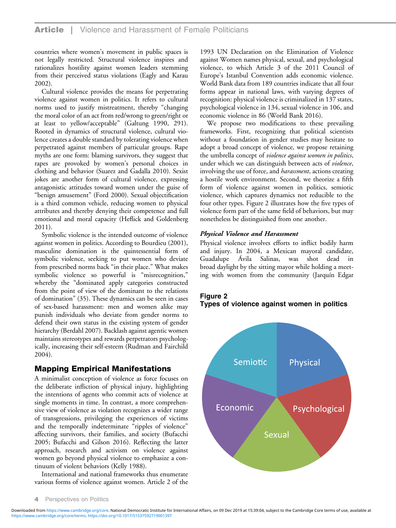countries where women's movement in public spaces is not legally restricted. Structural violence inspires and rationalizes hostility against women leaders stemming from their perceived status violations (Eagly and Karau 2002).

Cultural violence provides the means for perpetrating violence against women in politics. It refers to cultural norms used to justify mistreatment, thereby "changing the moral color of an act from red/wrong to green/right or at least to yellow/acceptable" (Galtung 1990, 291). Rooted in dynamics of structural violence, cultural violence creates a double standard by tolerating violence when perpetrated against members of particular groups. Rape myths are one form: blaming survivors, they suggest that rapes are provoked by women's personal choices in clothing and behavior (Suarez and Gadalla 2010). Sexist jokes are another form of cultural violence, expressing antagonistic attitudes toward women under the guise of "benign amusement" (Ford 2000). Sexual objectification is a third common vehicle, reducing women to physical attributes and thereby denying their competence and full emotional and moral capacity (Heflick and Goldenberg 2011).

Symbolic violence is the intended outcome of violence against women in politics. According to Bourdieu (2001), masculine domination is the quintessential form of symbolic violence, seeking to put women who deviate from prescribed norms back "in their place." What makes symbolic violence so powerful is "misrecognition," whereby the "dominated apply categories constructed from the point of view of the dominant to the relations of domination" (35). These dynamics can be seen in cases of sex-based harassment: men and women alike may punish individuals who deviate from gender norms to defend their own status in the existing system of gender hierarchy (Berdahl 2007). Backlash against agentic women maintains stereotypes and rewards perpetrators psychologically, increasing their self-esteem (Rudman and Fairchild 2004).

# Mapping Empirical Manifestations

A minimalist conception of violence as force focuses on the deliberate infliction of physical injury, highlighting the intentions of agents who commit acts of violence at single moments in time. In contrast, a more comprehensive view of violence as violation recognizes a wider range of transgressions, privileging the experiences of victims and the temporally indeterminate "ripples of violence" affecting survivors, their families, and society (Bufacchi 2005; Bufacchi and Gilson 2016). Reflecting the latter approach, research and activism on violence against women go beyond physical violence to emphasize a continuum of violent behaviors (Kelly 1988).

International and national frameworks thus enumerate various forms of violence against women. Article 2 of the

1993 UN Declaration on the Elimination of Violence against Women names physical, sexual, and psychological violence, to which Article 3 of the 2011 Council of Europe's Istanbul Convention adds economic violence. World Bank data from 189 countries indicate that all four forms appear in national laws, with varying degrees of recognition: physical violence is criminalized in 137 states, psychological violence in 134, sexual violence in 106, and economic violence in 86 (World Bank 2016).

We propose two modifications to these prevailing frameworks. First, recognizing that political scientists without a foundation in gender studies may hesitate to adopt a broad concept of violence, we propose retaining the umbrella concept of violence against women in politics, under which we can distinguish between acts of *violence*, involving the use of force, and *harassment*, actions creating a hostile work environment. Second, we theorize a fifth form of violence against women in politics, semiotic violence, which captures dynamics not reducible to the four other types. Figure 2 illustrates how the five types of violence form part of the same field of behaviors, but may nonetheless be distinguished from one another.

#### Physical Violence and Harassment

Physical violence involves efforts to inflict bodily harm and injury. In 2004, a Mexican mayoral candidate, Guadalupe Ávila Salinas, was shot dead in broad daylight by the sitting mayor while holding a meeting with women from the community (Jarquín Edgar

# Figure 2 Types of violence against women in politics



**Perspectives on Politics**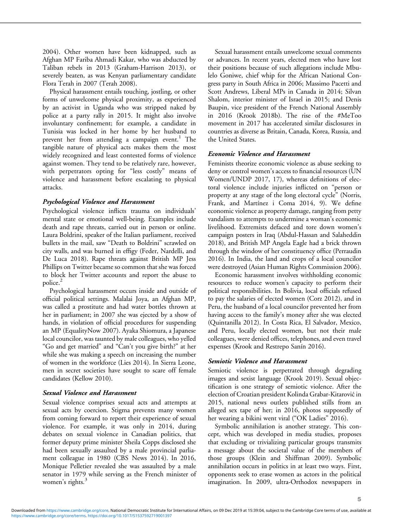2004). Other women have been kidnapped, such as Afghan MP Fariba Ahmadi Kakar, who was abducted by Taliban rebels in 2013 (Graham-Harrison 2013), or severely beaten, as was Kenyan parliamentary candidate Flora Terah in 2007 (Terah 2008).

Physical harassment entails touching, jostling, or other forms of unwelcome physical proximity, as experienced by an activist in Uganda who was stripped naked by police at a party rally in 2015. It might also involve involuntary confinement; for example, a candidate in Tunisia was locked in her home by her husband to prevent her from attending a campaign event.<sup>1</sup> The tangible nature of physical acts makes them the most widely recognized and least contested forms of violence against women. They tend to be relatively rare, however, with perpetrators opting for "less costly" means of violence and harassment before escalating to physical attacks.

#### Psychological Violence and Harassment

Psychological violence inflicts trauma on individuals' mental state or emotional well-being. Examples include death and rape threats, carried out in person or online. Laura Boldrini, speaker of the Italian parliament, received bullets in the mail, saw "Death to Boldrini" scrawled on city walls, and was burned in effigy (Feder, Nardelli, and De Luca 2018). Rape threats against British MP Jess Phillips on Twitter became so common that she was forced to block her Twitter accounts and report the abuse to police.<sup>2</sup>

Psychological harassment occurs inside and outside of official political settings. Malalai Joya, an Afghan MP, was called a prostitute and had water bottles thrown at her in parliament; in 2007 she was ejected by a show of hands, in violation of official procedures for suspending an MP (EqualityNow 2007). Ayaka Shiomura, a Japanese local councilor, was taunted by male colleagues, who yelled "Go and get married" and "Can't you give birth?" at her while she was making a speech on increasing the number of women in the workforce (Lies 2014). In Sierra Leone, men in secret societies have sought to scare off female candidates (Kellow 2010).

#### Sexual Violence and Harassment

Sexual violence comprises sexual acts and attempts at sexual acts by coercion. Stigma prevents many women from coming forward to report their experience of sexual violence. For example, it was only in 2014, during debates on sexual violence in Canadian politics, that former deputy prime minister Sheila Copps disclosed she had been sexually assaulted by a male provincial parliament colleague in 1980 (CBS News 2014). In 2016, Monique Pelletier revealed she was assaulted by a male senator in 1979 while serving as the French minister of women's rights.<sup>3</sup>

Sexual harassment entails unwelcome sexual comments or advances. In recent years, elected men who have lost their positions because of such allegations include Mbulelo Goniwe, chief whip for the African National Congress party in South Africa in 2006; Massimo Pacetti and Scott Andrews, Liberal MPs in Canada in 2014; Silvan Shalom, interior minister of Israel in 2015; and Denis Baupin, vice president of the French National Assembly in 2016 (Krook 2018b). The rise of the #MeToo movement in 2017 has accelerated similar disclosures in countries as diverse as Britain, Canada, Korea, Russia, and the United States.

#### Economic Violence and Harassment

Feminists theorize economic violence as abuse seeking to deny or control women's access to financial resources (UN Women/UNDP 2017, 17), whereas definitions of electoral violence include injuries inflicted on "person or property at any stage of the long electoral cycle" (Norris, Frank, and Martínez i Coma 2014, 9). We define economic violence as property damage, ranging from petty vandalism to attempts to undermine a woman's economic livelihood. Extremists defaced and tore down women's campaign posters in Iraq (Abdul-Hassan and Salaheddin 2018), and British MP Angela Eagle had a brick thrown through the window of her constituency office (Perraudin 2016). In India, the land and crops of a local councilor were destroyed (Asian Human Rights Commission 2006).

Economic harassment involves withholding economic resources to reduce women's capacity to perform their political responsibilities. In Bolivia, local officials refused to pay the salaries of elected women (Corz 2012), and in Peru, the husband of a local councilor prevented her from having access to the family's money after she was elected (Quintanilla 2012). In Costa Rica, El Salvador, Mexico, and Peru, locally elected women, but not their male colleagues, were denied offices, telephones, and even travel expenses (Krook and Restrepo Sanín 2016).

#### Semiotic Violence and Harassment

Semiotic violence is perpetrated through degrading images and sexist language (Krook 2019). Sexual objectification is one strategy of semiotic violence. After the election of Croatian president Kolinda Grabar-Kitarović in 2015, national news outlets published stills from an alleged sex tape of her; in 2016, photos supposedly of her wearing a bikini went viral ("OK Ladies" 2016).

Symbolic annihilation is another strategy. This concept, which was developed in media studies, proposes that excluding or trivializing particular groups transmits a message about the societal value of the members of those groups (Klein and Shiffman 2009). Symbolic annihilation occurs in politics in at least two ways. First, opponents seek to erase women as actors in the political imagination. In 2009, ultra-Orthodox newspapers in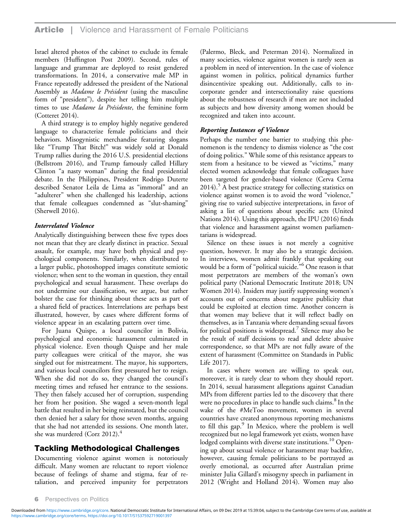Israel altered photos of the cabinet to exclude its female members (Huffington Post 2009). Second, rules of language and grammar are deployed to resist gendered transformations. In 2014, a conservative male MP in France repeatedly addressed the president of the National Assembly as Madame le Président (using the masculine form of "president"), despite her telling him multiple times to use Madame la Présidente, the feminine form (Cotteret 2014).

A third strategy is to employ highly negative gendered language to characterize female politicians and their behaviors. Misogynistic merchandise featuring slogans like "Trump That Bitch!" was widely sold at Donald Trump rallies during the 2016 U.S. presidential elections (Bellstrom 2016), and Trump famously called Hillary Clinton "a nasty woman" during the final presidential debate. In the Philippines, President Rodrigo Duterte described Senator Leila de Lima as "immoral" and an "adulterer" when she challenged his leadership, actions that female colleagues condemned as "slut-shaming" (Sherwell 2016).

## Interrelated Violence

Analytically distinguishing between these five types does not mean that they are clearly distinct in practice. Sexual assault, for example, may have both physical and psychological components. Similarly, when distributed to a larger public, photoshopped images constitute semiotic violence; when sent to the woman in question, they entail psychological and sexual harassment. These overlaps do not undermine our classification, we argue, but rather bolster the case for thinking about these acts as part of a shared field of practices. Interrelations are perhaps best illustrated, however, by cases where different forms of violence appear in an escalating pattern over time.

For Juana Quispe, a local councilor in Bolivia, psychological and economic harassment culminated in physical violence. Even though Quispe and her male party colleagues were critical of the mayor, she was singled out for mistreatment. The mayor, his supporters, and various local councilors first pressured her to resign. When she did not do so, they changed the council's meeting times and refused her entrance to the sessions. They then falsely accused her of corruption, suspending her from her position. She waged a seven-month legal battle that resulted in her being reinstated, but the council then denied her a salary for those seven months, arguing that she had not attended its sessions. One month later, she was murdered (Corz 2012). $4$ 

# Tackling Methodological Challenges

Documenting violence against women is notoriously difficult. Many women are reluctant to report violence because of feelings of shame and stigma, fear of retaliation, and perceived impunity for perpetrators

(Palermo, Bleck, and Peterman 2014). Normalized in many societies, violence against women is rarely seen as a problem in need of intervention. In the case of violence against women in politics, political dynamics further disincentivize speaking out. Additionally, calls to incorporate gender and intersectionality raise questions about the robustness of research if men are not included as subjects and how diversity among women should be recognized and taken into account.

## Reporting Instances of Violence

Perhaps the number one barrier to studying this phenomenon is the tendency to dismiss violence as "the cost of doing politics." While some of this resistance appears to stem from a hesitance to be viewed as "victims," many elected women acknowledge that female colleagues have been targeted for gender-based violence (Cerva Cerna  $2014$ .<sup>5</sup> A best practice strategy for collecting statistics on violence against women is to avoid the word "violence," giving rise to varied subjective interpretations, in favor of asking a list of questions about specific acts (United Nations 2014). Using this approach, the IPU (2016) finds that violence and harassment against women parliamentarians is widespread.

Silence on these issues is not merely a cognitive question, however. It may also be a strategic decision. In interviews, women admit frankly that speaking out would be a form of "political suicide." <sup>6</sup> One reason is that most perpetrators are members of the woman's own political party (National Democratic Institute 2018; UN Women 2014). Insiders may justify suppressing women's accounts out of concerns about negative publicity that could be exploited at election time. Another concern is that women may believe that it will reflect badly on themselves, as in Tanzania where demanding sexual favors for political positions is widespread.<sup>7</sup> Silence may also be the result of staff decisions to read and delete abusive correspondence, so that MPs are not fully aware of the extent of harassment (Committee on Standards in Public Life 2017).

In cases where women are willing to speak out, moreover, it is rarely clear to whom they should report. In 2014, sexual harassment allegations against Canadian MPs from different parties led to the discovery that there were no procedures in place to handle such claims.<sup>8</sup> In the wake of the #MeToo movement, women in several countries have created anonymous reporting mechanisms to fill this gap.<sup>9</sup> In Mexico, where the problem is well recognized but no legal framework yet exists, women have lodged complaints with diverse state institutions.<sup>10</sup> Opening up about sexual violence or harassment may backfire, however, causing female politicians to be portrayed as overly emotional, as occurred after Australian prime minister Julia Gillard's misogyny speech in parliament in 2012 (Wright and Holland 2014). Women may also

**6** Perspectives on Politics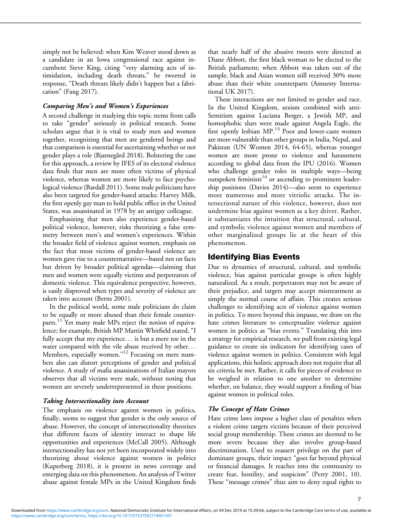simply not be believed: when Kim Weaver stood down as a candidate in an Iowa congressional race against incumbent Steve King, citing "very alarming acts of intimidation, including death threats," he tweeted in response, "Death threats likely didn't happen but a fabrication" (Fang 2017).

#### Comparing Men's and Women's Experiences

A second challenge in studying this topic stems from calls to take "gender" seriously in political research. Some scholars argue that it is vital to study men and women together, recognizing that men are gendered beings and that comparison is essential for ascertaining whether or not gender plays a role (Bjarnegård 2018). Bolstering the case for this approach, a review by IFES of its electoral violence data finds that men are more often victims of physical violence, whereas women are more likely to face psychological violence (Bardall 2011). Some male politicians have also been targeted for gender-based attacks: Harvey Milk, the first openly gay man to hold public office in the United States, was assassinated in 1978 by an antigay colleague.

Emphasizing that men also experience gender-based political violence, however, risks theorizing a false symmetry between men's and women's experiences. Within the broader field of violence against women, emphasis on the fact that most victims of gender-based violence are women gave rise to a counternarrative—based not on facts but driven by broader political agendas—claiming that men and women were equally victims and perpetrators of domestic violence. This equivalence perspective, however, is easily disproved when types and severity of violence are taken into account (Berns 2001).

In the political world, some male politicians do claim to be equally or more abused than their female counterparts.<sup>11</sup> Yet many male MPs reject the notion of equivalence; for example, British MP Martin Whitfield stated, "I fully accept that my experience... is but a mere toe in the water compared with the vile abuse received by other... Members, especially women."<sup>12</sup> Focusing on mere numbers also can distort perceptions of gender and political violence. A study of mafia assassinations of Italian mayors observes that all victims were male, without noting that women are severely underrepresented in these positions.

#### Taking Intersectionality into Account

The emphasis on violence against women in politics, finally, seems to suggest that gender is the only source of abuse. However, the concept of intersectionality theorizes that different facets of identity interact to shape life opportunities and experiences (McCall 2005). Although intersectionality has not yet been incorporated widely into theorizing about violence against women in politics (Kuperberg 2018), it is present in news coverage and emerging data on this phenomenon. An analysis of Twitter abuse against female MPs in the United Kingdom finds

that nearly half of the abusive tweets were directed at Diane Abbott, the first black woman to be elected to the British parliament; when Abbott was taken out of the sample, black and Asian women still received 30% more abuse than their white counterparts (Amnesty International UK 2017).

These interactions are not limited to gender and race. In the United Kingdom, sexism combined with anti-Semitism against Luciana Berger, a Jewish MP, and homophobic slurs were made against Angela Eagle, the first openly lesbian MP.<sup>13</sup> Poor and lower-caste women are more vulnerable than other groups in India, Nepal, and Pakistan (UN Women 2014, 64-65), whereas younger women are more prone to violence and harassment according to global data from the IPU (2016). Women who challenge gender roles in multiple ways—being outspoken feminists $14$  or ascending to prominent leadership positions (Davies 2014)—also seem to experience more numerous and more vitriolic attacks. The intersectional nature of this violence, however, does not undermine bias against women as a key driver. Rather, it substantiates the intuition that structural, cultural, and symbolic violence against women and members of other marginalized groups lie at the heart of this phenomenon.

# Identifying Bias Events

Due to dynamics of structural, cultural, and symbolic violence, bias against particular groups is often highly naturalized. As a result, perpetrators may not be aware of their prejudice, and targets may accept mistreatment as simply the normal course of affairs. This creates serious challenges to identifying acts of violence against women in politics. To move beyond this impasse, we draw on the hate crimes literature to conceptualize violence against women in politics as "bias events." Translating this into a strategy for empirical research, we pull from existing legal guidance to create six indicators for identifying cases of violence against women in politics. Consistent with legal applications, this holistic approach does not require that all six criteria be met. Rather, it calls for pieces of evidence to be weighed in relation to one another to determine whether, on balance, they would support a finding of bias against women in political roles.

## The Concept of Hate Crimes

Hate crime laws impose a higher class of penalties when a violent crime targets victims because of their perceived social group membership. These crimes are deemed to be more severe because they also involve group-based discrimination. Used to reassert privilege on the part of dominant groups, their impact "goes far beyond physical or financial damages. It reaches into the community to create fear, hostility, and suspicion" (Perry 2001, 10). These "message crimes" thus aim to deny equal rights to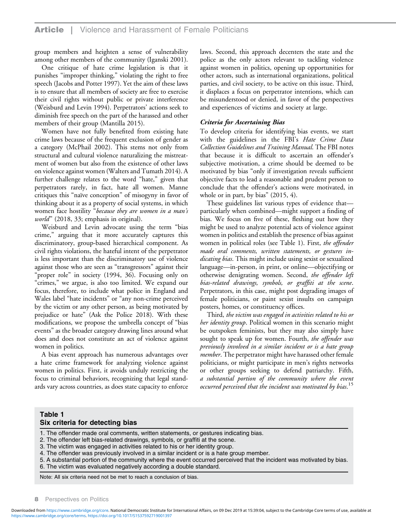group members and heighten a sense of vulnerability among other members of the community (Iganski 2001).

One critique of hate crime legislation is that it punishes "improper thinking," violating the right to free speech (Jacobs and Potter 1997). Yet the aim of these laws is to ensure that all members of society are free to exercise their civil rights without public or private interference (Weisburd and Levin 1994). Perpetrators' actions seek to diminish free speech on the part of the harassed and other members of their group (Mantilla 2015).

Women have not fully benefited from existing hate crime laws because of the frequent exclusion of gender as a category (McPhail 2002). This stems not only from structural and cultural violence naturalizing the mistreatment of women but also from the existence of other laws on violence against women (Walters and Tumath 2014). A further challenge relates to the word "hate," given that perpetrators rarely, in fact, hate all women. Manne critiques this "naïve conception" of misogyny in favor of thinking about it as a property of social systems, in which women face hostility "because they are women in a man's world" (2018, 33; emphasis in original).

Weisburd and Levin advocate using the term "bias crime," arguing that it more accurately captures this discriminatory, group-based hierarchical component. As civil rights violations, the hateful intent of the perpetrator is less important than the discriminatory use of violence against those who are seen as "transgressors" against their "proper role" in society (1994, 36). Focusing only on "crimes," we argue, is also too limited. We expand our focus, therefore, to include what police in England and Wales label "hate incidents" or "any non-crime perceived by the victim or any other person, as being motivated by prejudice or hate" (Ask the Police 2018). With these modifications, we propose the umbrella concept of "bias events" as the broader category drawing lines around what does and does not constitute an act of violence against women in politics.

A bias event approach has numerous advantages over a hate crime framework for analyzing violence against women in politics. First, it avoids unduly restricting the focus to criminal behaviors, recognizing that legal standards vary across countries, as does state capacity to enforce laws. Second, this approach decenters the state and the police as the only actors relevant to tackling violence against women in politics, opening up opportunities for other actors, such as international organizations, political parties, and civil society, to be active on this issue. Third, it displaces a focus on perpetrator intentions, which can be misunderstood or denied, in favor of the perspectives and experiences of victims and society at large.

#### Criteria for Ascertaining Bias

To develop criteria for identifying bias events, we start with the guidelines in the FBI's Hate Crime Data Collection Guidelines and Training Manual. The FBI notes that because it is difficult to ascertain an offender's subjective motivation, a crime should be deemed to be motivated by bias "only if investigation reveals sufficient objective facts to lead a reasonable and prudent person to conclude that the offender's actions were motivated, in whole or in part, by bias" (2015, 4).

These guidelines list various types of evidence that particularly when combined—might support a finding of bias. We focus on five of these, fleshing out how they might be used to analyze potential acts of violence against women in politics and establish the presence of bias against women in political roles (see Table 1). First, the offender made oral comments, written statements, or gestures indicating bias. This might include using sexist or sexualized language—in-person, in print, or online—objectifying or otherwise denigrating women. Second, the offender left bias-related drawings, symbols, or graffiti at the scene. Perpetrators, in this case, might post degrading images of female politicians, or paint sexist insults on campaign posters, homes, or constituency offices.

Third, the victim was engaged in activities related to his or her identity group. Political women in this scenario might be outspoken feminists, but they may also simply have sought to speak up for women. Fourth, the offender was previously involved in a similar incident or is a hate group member. The perpetrator might have harassed other female politicians, or might participate in men's rights networks or other groups seeking to defend patriarchy. Fifth, a substantial portion of the community where the event occurred perceived that the incident was motivated by bias.<sup>15</sup>

## Table 1 Six criteria for detecting bias

1. The offender made oral comments, written statements, or gestures indicating bias.

2. The offender left bias-related drawings, symbols, or graffiti at the scene.

3. The victim was engaged in activities related to his or her identity group.

4. The offender was previously involved in a similar incident or is a hate group member.

5. A substantial portion of the community where the event occurred perceived that the incident was motivated by bias. 6. The victim was evaluated negatively according a double standard.

Note: All six criteria need not be met to reach a conclusion of bias.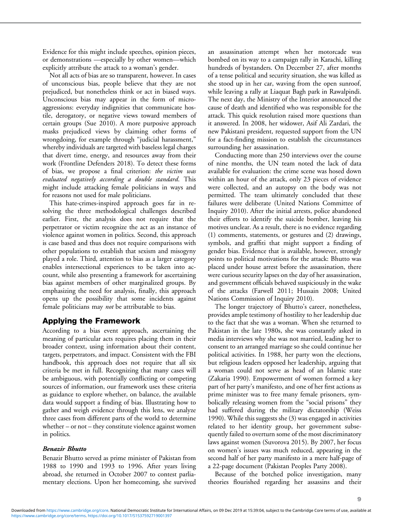Evidence for this might include speeches, opinion pieces, or demonstrations —especially by other women—which explicitly attribute the attack to a woman's gender.

Not all acts of bias are so transparent, however. In cases of unconscious bias, people believe that they are not prejudiced, but nonetheless think or act in biased ways. Unconscious bias may appear in the form of microaggressions: everyday indignities that communicate hostile, derogatory, or negative views toward members of certain groups (Sue 2010). A more purposive approach masks prejudiced views by claiming other forms of wrongdoing, for example through "judicial harassment," whereby individuals are targeted with baseless legal charges that divert time, energy, and resources away from their work (Frontline Defenders 2018). To detect these forms of bias, we propose a final criterion: the victim was evaluated negatively according a double standard. This might include attacking female politicians in ways and for reasons not used for male politicians.

This hate-crimes-inspired approach goes far in resolving the three methodological challenges described earlier. First, the analysis does not require that the perpetrator or victim recognize the act as an instance of violence against women in politics. Second, this approach is case based and thus does not require comparisons with other populations to establish that sexism and misogyny played a role. Third, attention to bias as a larger category enables intersectional experiences to be taken into account, while also presenting a framework for ascertaining bias against members of other marginalized groups. By emphasizing the need for analysis, finally, this approach opens up the possibility that some incidents against female politicians may not be attributable to bias.

# Applying the Framework

According to a bias event approach, ascertaining the meaning of particular acts requires placing them in their broader context, using information about their content, targets, perpetrators, and impact. Consistent with the FBI handbook, this approach does not require that all six criteria be met in full. Recognizing that many cases will be ambiguous, with potentially conflicting or competing sources of information, our framework uses these criteria as guidance to explore whether, on balance, the available data would support a finding of bias. Illustrating how to gather and weigh evidence through this lens, we analyze three cases from different parts of the world to determine whether – or not – they constitute violence against women in politics.

## Benazir Bhutto

Benazir Bhutto served as prime minister of Pakistan from 1988 to 1990 and 1993 to 1996. After years living abroad, she returned in October 2007 to contest parliamentary elections. Upon her homecoming, she survived an assassination attempt when her motorcade was bombed on its way to a campaign rally in Karachi, killing hundreds of bystanders. On December 27, after months of a tense political and security situation, she was killed as she stood up in her car, waving from the open sunroof, while leaving a rally at Liaquat Bagh park in Rawalpindi. The next day, the Ministry of the Interior announced the cause of death and identified who was responsible for the attack. This quick resolution raised more questions than it answered. In 2008, her widower, Asif Ali Zardari, the new Pakistani president, requested support from the UN for a fact-finding mission to establish the circumstances surrounding her assassination.

Conducting more than 250 interviews over the course of nine months, the UN team noted the lack of data available for evaluation: the crime scene was hosed down within an hour of the attack, only 23 pieces of evidence were collected, and an autopsy on the body was not permitted. The team ultimately concluded that these failures were deliberate (United Nations Committee of Inquiry 2010). After the initial arrests, police abandoned their efforts to identify the suicide bomber, leaving his motives unclear. As a result, there is no evidence regarding (1) comments, statements, or gestures and (2) drawings, symbols, and graffiti that might support a finding of gender bias. Evidence that is available, however, strongly points to political motivations for the attack: Bhutto was placed under house arrest before the assassination, there were curious security lapses on the day of her assassination, and government officials behaved suspiciously in the wake of the attacks (Farwell 2011; Hussain 2008; United Nations Commission of Inquiry 2010).

The longer trajectory of Bhutto's career, nonetheless, provides ample testimony of hostility to her leadership due to the fact that she was a woman. When she returned to Pakistan in the late 1980s, she was constantly asked in media interviews why she was not married, leading her to consent to an arranged marriage so she could continue her political activities. In 1988, her party won the elections, but religious leaders opposed her leadership, arguing that a woman could not serve as head of an Islamic state (Zakaria 1990). Empowerment of women formed a key part of her party's manifesto, and one of her first actions as prime minister was to free many female prisoners, symbolically releasing women from the "social prisons" they had suffered during the military dictatorship (Weiss 1990). While this suggests she (3) was engaged in activities related to her identity group, her government subsequently failed to overturn some of the most discriminatory laws against women (Suvorova 2015). By 2007, her focus on women's issues was much reduced, appearing in the second half of her party manifesto in a mere half-page of a 22-page document (Pakistan Peoples Party 2008).

Because of the botched police investigation, many theories flourished regarding her assassins and their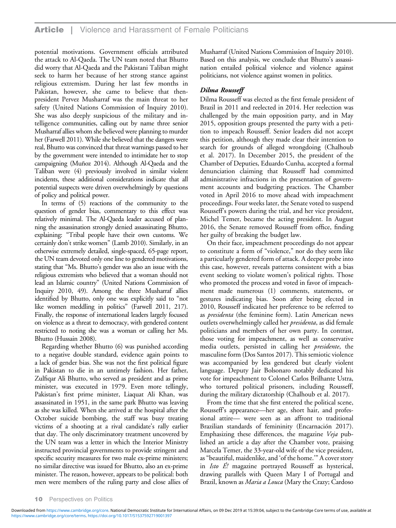potential motivations. Government officials attributed the attack to Al-Qaeda. The UN team noted that Bhutto did worry that Al-Qaeda and the Pakistani Taliban might seek to harm her because of her strong stance against religious extremism. During her last few months in Pakistan, however, she came to believe that thenpresident Pervez Musharraf was the main threat to her safety (United Nations Commission of Inquiry 2010). She was also deeply suspicious of the military and intelligence communities, calling out by name three senior Musharraf allies whom she believed were planning to murder her (Farwell 2011). While she believed that the dangers were real, Bhutto was convinced that threat warnings passed to her by the government were intended to intimidate her to stop campaigning (Muñoz 2014). Although Al-Qaeda and the Taliban were (4) previously involved in similar violent incidents, these additional considerations indicate that all potential suspects were driven overwhelmingly by questions of policy and political power.

In terms of (5) reactions of the community to the question of gender bias, commentary to this effect was relatively minimal. The Al-Qaeda leader accused of planning the assassination strongly denied assassinating Bhutto, explaining: "Tribal people have their own customs. We certainly don't strike women" (Lamb 2010). Similarly, in an otherwise extremely detailed, single-spaced, 65-page report, the UN team devoted only one line to gendered motivations, stating that "Ms. Bhutto's gender was also an issue with the religious extremists who believed that a woman should not lead an Islamic country" (United Nations Commission of Inquiry 2010, 49). Among the three Musharraf allies identified by Bhutto, only one was explicitly said to "not like women meddling in politics" (Farwell 2011, 217). Finally, the response of international leaders largely focused on violence as a threat to democracy, with gendered content restricted to noting she was a woman or calling her Ms. Bhutto (Hussain 2008).

Regarding whether Bhutto (6) was punished according to a negative double standard, evidence again points to a lack of gender bias. She was not the first political figure in Pakistan to die in an untimely fashion. Her father, Zulfiqar Ali Bhutto, who served as president and as prime minister, was executed in 1979. Even more tellingly, Pakistan's first prime minister, Liaquat Ali Khan, was assassinated in 1951, in the same park Bhutto was leaving as she was killed. When she arrived at the hospital after the October suicide bombing, the staff was busy treating victims of a shooting at a rival candidate's rally earlier that day. The only discriminatory treatment uncovered by the UN team was a letter in which the Interior Ministry instructed provincial governments to provide stringent and specific security measures for two male ex-prime ministers; no similar directive was issued for Bhutto, also an ex-prime minister. The reason, however, appears to be political: both men were members of the ruling party and close allies of Musharraf (United Nations Commission of Inquiry 2010). Based on this analysis, we conclude that Bhutto's assassination entailed political violence and violence against politicians, not violence against women in politics.

## Dilma Rousseff

Dilma Rousseff was elected as the first female president of Brazil in 2011 and reelected in 2014. Her reelection was challenged by the main opposition party, and in May 2015, opposition groups presented the party with a petition to impeach Rousseff. Senior leaders did not accept this petition, although they made clear their intention to search for grounds of alleged wrongdoing (Chalhoub et al. 2017). In December 2015, the president of the Chamber of Deputies, Eduardo Cunha, accepted a formal denunciation claiming that Rousseff had committed administrative infractions in the presentation of government accounts and budgeting practices. The Chamber voted in April 2016 to move ahead with impeachment proceedings. Four weeks later, the Senate voted to suspend Rousseff's powers during the trial, and her vice president, Michel Temer, became the acting president. In August 2016, the Senate removed Rousseff from office, finding her guilty of breaking the budget law.

On their face, impeachment proceedings do not appear to constitute a form of "violence," nor do they seem like a particularly gendered form of attack. A deeper probe into this case, however, reveals patterns consistent with a bias event seeking to violate women's political rights. Those who promoted the process and voted in favor of impeachment made numerous (1) comments, statements, or gestures indicating bias. Soon after being elected in 2010, Rousseff indicated her preference to be referred to as *presidenta* (the feminine form). Latin American news outlets overwhelmingly called her presidenta, as did female politicians and members of her own party. In contrast, those voting for impeachment, as well as conservative media outlets, persisted in calling her presidente, the masculine form (Dos Santos 2017). This semiotic violence was accompanied by less gendered but clearly violent language. Deputy Jair Bolsonaro notably dedicated his vote for impeachment to Colonel Carlos Brilhante Ustra, who tortured political prisoners, including Rousseff, during the military dictatorship (Chalhoub et al. 2017).

From the time that she first entered the political scene, Rousseff's appearance—her age, short hair, and professional attire— were seen as an affront to traditional Brazilian standards of femininity (Encarnación 2017). Emphasizing these differences, the magazine Veja published an article a day after the Chamber vote, praising Marcela Temer, the 33-year-old wife of the vice president, as"beautiful, maidenlike, and 'of the home.'" A cover story in Isto E! magazine portrayed Rousseff as hysterical, drawing parallels with Queen Mary I of Portugal and Brazil, known as *Maria a Louca* (Mary the Crazy; Cardoso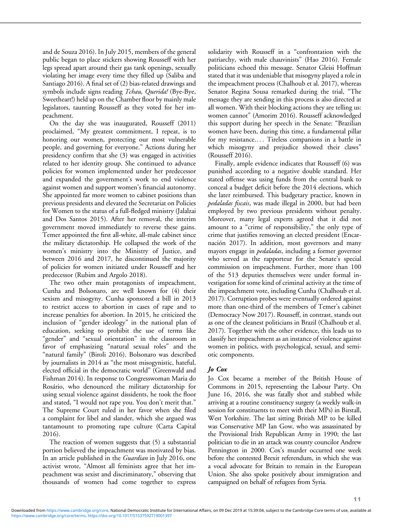and de Souza 2016). In July 2015, members of the general public began to place stickers showing Rousseff with her legs spread apart around their gas tank openings, sexually violating her image every time they filled up (Saliba and Santiago 2016). A final set of (2) bias-related drawings and symbols include signs reading Tchau, Querida! (Bye-Bye, Sweetheart!) held up on the Chamber floor by mainly male legislators, taunting Rousseff as they voted for her impeachment.

On the day she was inaugurated, Rousseff (2011) proclaimed, "My greatest commitment, I repeat, is to honoring our women, protecting our most vulnerable people, and governing for everyone." Actions during her presidency confirm that she (3) was engaged in activities related to her identity group. She continued to advance policies for women implemented under her predecessor and expanded the government's work to end violence against women and support women's financial autonomy. She appointed far more women to cabinet positions than previous presidents and elevated the Secretariat on Policies for Women to the status of a full-fledged ministry (Jalalzai and Dos Santos 2015). After her removal, the interim government moved immediately to reverse these gains. Temer appointed the first all-white, all-male cabinet since the military dictatorship. He collapsed the work of the women's ministry into the Ministry of Justice, and between 2016 and 2017, he discontinued the majority of policies for women initiated under Rousseff and her predecessor (Rubim and Argolo 2018).

The two other main protagonists of impeachment, Cunha and Bolsonaro, are well known for (4) their sexism and misogyny. Cunha sponsored a bill in 2013 to restrict access to abortion in cases of rape and to increase penalties for abortion. In 2015, he criticized the inclusion of "gender ideology" in the national plan of education, seeking to prohibit the use of terms like "gender" and "sexual orientation" in the classroom in favor of emphasizing "natural sexual roles" and the "natural family" (Biroli 2016). Bolsonaro was described by journalists in 2014 as "the most misogynistic, hateful, elected official in the democratic world" (Greenwald and Fishman 2014). In response to Congresswoman Maria do Rosário, who denounced the military dictatorship for using sexual violence against dissidents, he took the floor and stated, "I would not rape you. You don't merit that." The Supreme Court ruled in her favor when she filed a complaint for libel and slander, which she argued was tantamount to promoting rape culture (Carta Capital 2016).

The reaction of women suggests that (5) a substantial portion believed the impeachment was motivated by bias. In an article published in the *Guardian* in July 2016, one activist wrote, "Almost all feminists agree that her impeachment was sexist and discriminatory," observing that thousands of women had come together to express solidarity with Rousseff in a "confrontation with the patriarchy, with male chauvinists" (Hao 2016). Female politicians echoed this message. Senator Gleisi Hoffman stated that it was undeniable that misogyny played a role in the impeachment process (Chalhoub et al. 2017), whereas Senator Regina Sousa remarked during the trial, "The message they are sending in this process is also directed at all women. With their blocking actions they are telling us: women cannot" (Amorim 2016). Rousseff acknowledged this support during her speech in the Senate: "Brazilian women have been, during this time, a fundamental pillar for my resistance.... Tireless companions in a battle in which misogyny and prejudice showed their claws" (Rousseff 2016).

Finally, ample evidence indicates that Rousseff (6) was punished according to a negative double standard. Her stated offense was using funds from the central bank to conceal a budget deficit before the 2014 elections, which she later reimbursed. This budgetary practice, known in pedaladas fiscais, was made illegal in 2000, but had been employed by two previous presidents without penalty. Moreover, many legal experts agreed that it did not amount to a "crime of responsibility," the only type of crime that justifies removing an elected president (Encarnación 2017). In addition, most governors and many mayors engage in *pedaladas*, including a former governor who served as the rapporteur for the Senate's special commission on impeachment. Further, more than 100 of the 513 deputies themselves were under formal investigation for some kind of criminal activity at the time of the impeachment vote, including Cunha (Chalhoub et al. 2017). Corruption probes were eventually ordered against more than one-third of the members of Temer's cabinet (Democracy Now 2017). Rousseff, in contrast, stands out as one of the cleanest politicians in Brazil (Chalhoub et al. 2017). Together with the other evidence, this leads us to classify her impeachment as an instance of violence against women in politics, with psychological, sexual, and semiotic components.

## Jo Cox

Jo Cox became a member of the British House of Commons in 2015, representing the Labour Party. On June 16, 2016, she was fatally shot and stabbed while arriving at a routine constituency surgery (a weekly walk-in session for constituents to meet with their MPs) in Birstall, West Yorkshire. The last sitting British MP to be killed was Conservative MP Ian Gow, who was assassinated by the Provisional Irish Republican Army in 1990; the last politician to die in an attack was county councilor Andrew Pennington in 2000. Cox's murder occurred one week before the contested Brexit referendum, in which she was a vocal advocate for Britain to remain in the European Union. She also spoke positively about immigration and campaigned on behalf of refugees from Syria.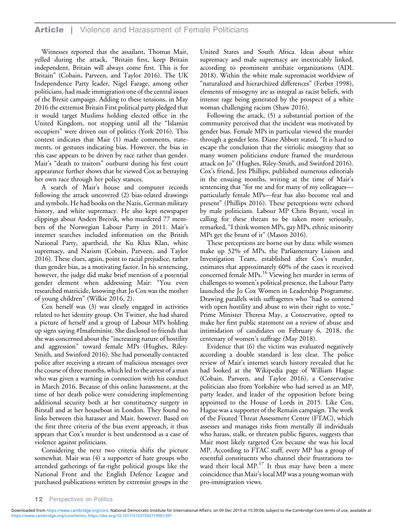Witnesses reported that the assailant, Thomas Mair, yelled during the attack, "Britain first, keep Britain independent, Britain will always come first. This is for Britain" (Cobain, Parveen, and Taylor 2016). The UK Independence Party leader, Nigel Farage, among other politicians, had made immigration one of the central issues of the Brexit campaign. Adding to these tensions, in May 2016 the extremist Britain First political party pledged that it would target Muslims holding elected office in the United Kingdom, not stopping until all the "Islamist occupiers" were driven out of politics (York 2016). This context indicates that Mair (1) made comments, statements, or gestures indicating bias. However, the bias in this case appears to be driven by race rather than gender. Mair's "death to traitors" outburst during his first court appearance further shows that he viewed Cox as betraying her own race through her policy stances.

A search of Mair's house and computer records following the attack uncovered (2) bias-related drawings and symbols. He had books on the Nazis, German military history, and white supremacy. He also kept newspaper clippings about Anders Breivik, who murdered 77 members of the Norwegian Labour Party in 2011. Mair's internet searches included information on the British National Party, apartheid, the Ku Klux Klan, white supremacy, and Nazism (Cobain, Parveen, and Taylor 2016). These clues, again, point to racial prejudice, rather than gender bias, as a motivating factor. In his sentencing, however, the judge did make brief mention of a potential gender element when addressing Mair: "You even researched matricide, knowing that Jo Cox was the mother of young children" (Wilkie 2016, 2).

Cox herself was (3) was clearly engaged in activities related to her identity group. On Twitter, she had shared a picture of herself and a group of Labour MPs holding up signs saying #Imafeminist. She disclosed to friends that she was concerned about the "increasing nature of hostility and aggression" toward female MPs (Hughes, Riley-Smith, and Swinford 2016). She had personally contacted police after receiving a stream of malicious messages over the course of three months, which led to the arrest of a man who was given a warning in connection with his conduct in March 2016. Because of this online harassment, at the time of her death police were considering implementing additional security both at her constituency surgery in Birstall and at her houseboat in London. They found no links between this harasser and Mair, however. Based on the first three criteria of the bias event approach, it thus appears that Cox's murder is best understood as a case of violence against politicians.

Considering the next two criteria shifts the picture somewhat. Mair was (4) a supporter of hate groups who attended gatherings of far-right political groups like the National Front and the English Defence League and purchased publications written by extremist groups in the

United States and South Africa. Ideas about white supremacy and male supremacy are inextricably linked, according to prominent antihate organizations (ADL 2018). Within the white male supremacist worldview of "naturalized and hierarchized differences" (Ferber 1998), elements of misogyny are as integral as racist beliefs, with intense rage being generated by the prospect of a white woman challenging racism (Shaw 2016).

Following the attack, (5) a substantial portion of the community perceived that the incident was motivated by gender bias. Female MPs in particular viewed the murder through a gender lens. Diane Abbott stated, "It is hard to escape the conclusion that the vitriolic misogyny that so many women politicians endure framed the murderous attack on Jo" (Hughes, Riley-Smith, and Swinford 2016). Cox's friend, Jess Phillips, published numerous editorials in the ensuing months, writing at the time of Mair's sentencing that "for me and for many of my colleagues particularly female MPs—fear has also become real and present" (Phillips 2016). These perceptions were echoed by male politicians. Labour MP Chris Bryant, vocal in calling for these threats to be taken more seriously, remarked,"I think women MPs, gay MPs, ethnic minority MPs get the brunt of it" (Mason 2016).

These perceptions are borne out by data: while women make up 32% of MPs, the Parliamentary Liaison and Investigation Team, established after Cox's murder, estimates that approximately 60% of the cases it received concerned female MPs.16 Viewing her murder in terms of challenges to women's political presence, the Labour Party launched the Jo Cox Women in Leadership Programme. Drawing parallels with suffragettes who "had to contend with open hostility and abuse to win their right to vote," Prime Minister Theresa May, a Conservative, opted to make her first public statement on a review of abuse and intimidation of candidates on February 6, 2018, the centenary of women's suffrage (May 2018).

Evidence that (6) the victim was evaluated negatively according a double standard is less clear. The police review of Mair's internet search history revealed that he had looked at the Wikipedia page of William Hague (Cobain, Parveen, and Taylor 2016), a Conservative politician also from Yorkshire who had served as an MP, party leader, and leader of the opposition before being appointed to the House of Lords in 2015. Like Cox, Hague was a supporter of the Remain campaign. The work of the Fixated Threat Assessment Centre (FTAC), which assesses and manages risks from mentally ill individuals who harass, stalk, or threaten public figures, suggests that Mair most likely targeted Cox because she was his local MP. According to FTAC staff, every MP has a group of resentful constituents who channel their frustrations toward their local  $MP.^{17}$  It thus may have been a mere coincidence that Mair's local MP was a young woman with pro-immigration views.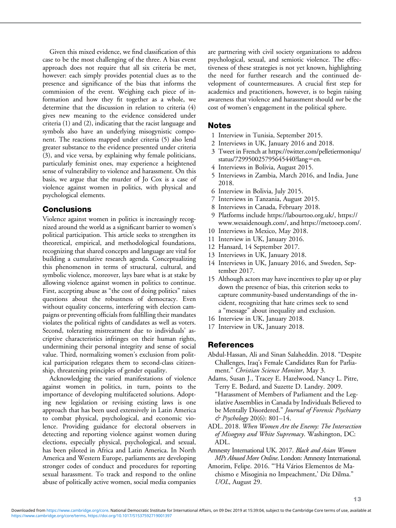Given this mixed evidence, we find classification of this case to be the most challenging of the three. A bias event approach does not require that all six criteria be met, however: each simply provides potential clues as to the presence and significance of the bias that informs the commission of the event. Weighing each piece of information and how they fit together as a whole, we determine that the discussion in relation to criteria (4) gives new meaning to the evidence considered under criteria (1) and (2), indicating that the racist language and symbols also have an underlying misogynistic component. The reactions mapped under criteria (5) also lend greater substance to the evidence presented under criteria (3), and vice versa, by explaining why female politicians, particularly feminist ones, may experience a heightened sense of vulnerability to violence and harassment. On this basis, we argue that the murder of Jo Cox is a case of violence against women in politics, with physical and psychological elements.

## Conclusions

Violence against women in politics is increasingly recognized around the world as a significant barrier to women's political participation. This article seeks to strengthen its theoretical, empirical, and methodological foundations, recognizing that shared concepts and language are vital for building a cumulative research agenda. Conceptualizing this phenomenon in terms of structural, cultural, and symbolic violence, moreover, lays bare what is at stake by allowing violence against women in politics to continue. First, accepting abuse as "the cost of doing politics" raises questions about the robustness of democracy. Even without equality concerns, interfering with election campaigns or preventing officials from fulfilling their mandates violates the political rights of candidates as well as voters. Second, tolerating mistreatment due to individuals' ascriptive characteristics infringes on their human rights, undermining their personal integrity and sense of social value. Third, normalizing women's exclusion from political participation relegates them to second-class citizenship, threatening principles of gender equality.

Acknowledging the varied manifestations of violence against women in politics, in turn, points to the importance of developing multifaceted solutions. Adopting new legislation or revising existing laws is one approach that has been used extensively in Latin America to combat physical, psychological, and economic violence. Providing guidance for electoral observers in detecting and reporting violence against women during elections, especially physical, psychological, and sexual, has been piloted in Africa and Latin America. In North America and Western Europe, parliaments are developing stronger codes of conduct and procedures for reporting sexual harassment. To track and respond to the online abuse of politically active women, social media companies are partnering with civil society organizations to address psychological, sexual, and semiotic violence. The effectiveness of these strategies is not yet known, highlighting the need for further research and the continued development of countermeasures. A crucial first step for academics and practitioners, however, is to begin raising awareness that violence and harassment should not be the cost of women's engagement in the political sphere.

## Notes

- 1 Interview in Tunisia, September 2015.
- 2 Interviews in UK, January 2016 and 2018.
- 3 Tweet in French at [https://twitter.com/pelletiermoniqu/](https://twitter.com/pelletiermoniqu/status/729950025795645440?lang=en) [status/729950025795645440?lang](https://twitter.com/pelletiermoniqu/status/729950025795645440?lang=en)=[en.](https://twitter.com/pelletiermoniqu/status/729950025795645440?lang=en)
- 4 Interviews in Bolivia, August 2015.
- 5 Interviews in Zambia, March 2016, and India, June 2018.
- 6 Interview in Bolivia, July 2015.
- 7 Interviews in Tanzania, August 2015.
- 8 Interviews in Canada, February 2018.
- 9 Platforms include<https://labourtoo.org.uk/>, [https://](https://www.wesaidenough.com/) [www.wesaidenough.com/](https://www.wesaidenough.com/), and<https://metooep.com/>.
- 10 Interviews in Mexico, May 2018.
- 11 Interview in UK, January 2016.
- 12 Hansard, 14 September 2017.
- 13 Interviews in UK, January 2018.
- 14 Interviews in UK, January 2016, and Sweden, September 2017.
- 15 Although actors may have incentives to play up or play down the presence of bias, this criterion seeks to capture community-based understandings of the incident, recognizing that hate crimes seek to send a "message" about inequality and exclusion.
- 16 Interview in UK, January 2018.
- 17 Interview in UK, January 2018.

# References

- Abdul-Hassan, Ali and Sinan Salaheddin. 2018. "Despite Challenges, Iraq's Female Candidates Run for Parliament." Christian Science Monitor, May 3.
- Adams, Susan J., Tracey E. Hazelwood, Nancy L. Pitre, Terry E. Bedard, and Suzette D. Landry. 2009. "Harassment of Members of Parliament and the Legislative Assemblies in Canada by Individuals Believed to be Mentally Disordered." Journal of Forensic Psychiatry  $\acute{\phi}$  Psychology 20(6): 801–14.
- ADL. 2018. When Women Are the Enemy: The Intersection of Misogyny and White Supremacy. Washington, DC: ADL.
- Amnesty International UK. 2017. Black and Asian Women MPs Abused More Online. London: Amnesty International.
- Amorim, Felipe. 2016. "'Há Vários Elementos de Machismo e Misoginia no Impeachment,' Diz Dilma." UOL, August 29.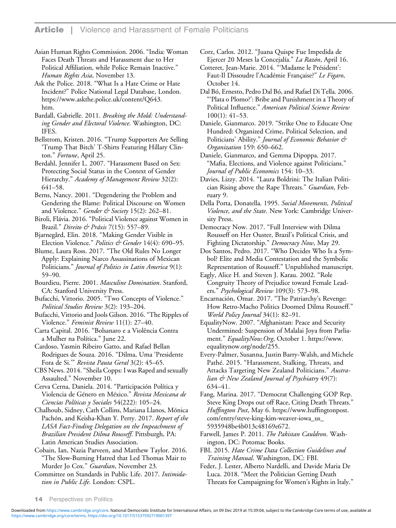Asian Human Rights Commission. 2006. "India: Woman Faces Death Threats and Harassment due to Her Political Affiliation, while Police Remain Inactive." Human Rights Asia, November 13.

Ask the Police. 2018. "What Is a Hate Crime or Hate Incident?" Police National Legal Database, London. [https://www.askthe.police.uk/content/Q643.](https://www.askthe.police.uk/content/Q643.htm) [htm](https://www.askthe.police.uk/content/Q643.htm).

Bardall, Gabrielle. 2011. Breaking the Mold: Understanding Gender and Electoral Violence. Washington, DC: IFES.

Bellstrom, Kristen. 2016. "Trump Supporters Are Selling 'Trump That Bitch' T-Shirts Featuring Hillary Clinton." Fortune, April 25.

Berdahl, Jennifer L. 2007. "Harassment Based on Sex: Protecting Social Status in the Context of Gender Hierarchy." Academy of Management Review 32(2): 641–58.

Berns, Nancy. 2001. "Degendering the Problem and Gendering the Blame: Political Discourse on Women and Violence." Gender & Society 15(2): 262–81.

Biroli, Flávia. 2016. "Political Violence against Women in Brazil." Direito & Práxis 7(15): 557–89.

Bjarnegård, Elin. 2018. "Making Gender Visible in Election Violence." Politics & Gender 14(4): 690-95.

Blume, Laura Ross. 2017. "The Old Rules No Longer Apply: Explaining Narco Assassinations of Mexican Politicians." Journal of Politics in Latin America 9(1): 59–90.

Bourdieu, Pierre. 2001. Masculine Domination. Stanford, CA: Stanford University Press.

Bufacchi, Vittorio. 2005. "Two Concepts of Violence." Political Studies Review 3(2): 193–204.

Bufacchi, Vittorio and Jools Gilson. 2016."The Ripples of Violence." Feminist Review 11(1): 27–40.

Carta Capital. 2016. "Bolsanaro e a Violência Contra a Mulher na Política." June 22.

Cardoso, Yasmin Ribeiro Gatto, and Rafael Bellan Rodrigues de Souza. 2016. "Dilma, Uma 'Presidente Fora de Si.'" Revista Pauta Geral 3(2): 45–65.

CBS News. 2014."Sheila Copps: I was Raped and sexually Assaulted." November 10.

Cerva Cerna, Daniela. 2014. "Participación Política y Violencia de Género en México." Revista Mexicana de Ciencias Políticas y Sociales 54(222): 105–24.

Chalhoub, Sidney, Cath Collins, Mariana Llanos, Mónica Pachón, and Keisha-Khan Y. Perry. 2017. Report of the LASA Fact-Finding Delegation on the Impeachment of Brazilian President Dilma Rousseff. Pittsburgh, PA: Latin American Studies Association.

Cobain, Ian, Nazia Parveen, and Matthew Taylor. 2016. "The Slow-Burning Hatred that Led Thomas Mair to Murder Jo Cox." *Guardian*, November 23.

Committee on Standards in Public Life. 2017. Intimidation in Public Life. London: CSPL.

Corz, Carlos. 2012. "Juana Quispe Fue Impedida de Ejercer 20 Meses la Concejalía." La Razón, April 16.

Cotteret, Jean-Marie. 2014. "'Madame le Président': Faut-Il Dissoudre l'Académie Française?" Le Figaro, October 14.

Dal Bó, Ernesto, Pedro Dal Bó, and Rafael Di Tella. 2006. "'Plata o Plomo?': Bribe and Punishment in a Theory of Political Influence." American Political Science Review 100(1): 41–53.

Daniele, Gianmarco. 2019. "Strike One to Educate One Hundred: Organized Crime, Political Selection, and Politicians' Ability." Journal of Economic Behavior & Organization 159: 650–662.

Daniele, Gianmarco, and Gemma Dipoppa. 2017. "Mafia, Elections, and Violence against Politicians." Journal of Public Economics 154: 10–33.

Davies, Lizzy. 2014. "Laura Boldrini: The Italian Politician Rising above the Rape Threats." Guardian, February 9.

Della Porta, Donatella. 1995. Social Movements, Political Violence, and the State. New York: Cambridge University Press.

Democracy Now. 2017. "Full Interview with Dilma Rousseff on Her Ouster, Brazil's Political Crisis, and Fighting Dictatorship." Democracy Now, May 29.

Dos Santos, Pedro. 2017. "Who Decides Who Is a Symbol? Elite and Media Contestation and the Symbolic Representation of Rousseff." Unpublished manuscript.

Eagly, Alice H. and Steven J. Karau. 2002. "Role Congruity Theory of Prejudice toward Female Leaders." Psychological Review 109(3): 573–98.

Encarnación, Omar. 2017. "The Patriarchy's Revenge: How Retro-Macho Politics Doomed Dilma Rousseff." World Policy Journal 34(1): 82–91.

EqualityNow. 2007. "Afghanistan: Peace and Security Undermined: Suspension of Malalai Joya from Parliament." EqualityNow.Org, October 1. [https://www.](https://www.equalitynow.org/node/255) [equalitynow.org/node/255](https://www.equalitynow.org/node/255).

Every-Palmer, Susanna, Justin Barry-Walsh, and Michele Pathé. 2015. "Harassment, Stalking, Threats, and Attacks Targeting New Zealand Politicians." Australian & New Zealand Journal of Psychiatry 49(7): 634–41.

Fang, Marina. 2017. "Democrat Challenging GOP Rep. Steve King Drops out off Race, Citing Death Threats." Huffington Post, May 6. [https://www.huf](https://www.huffingtonpost.com/entry/steve-king-kim-weaver-iowa_us_5935948be4b013c48169e672)fingtonpost. [com/entry/steve-king-kim-weaver-iowa\\_us\\_](https://www.huffingtonpost.com/entry/steve-king-kim-weaver-iowa_us_5935948be4b013c48169e672) [5935948be4b013c48169e672.](https://www.huffingtonpost.com/entry/steve-king-kim-weaver-iowa_us_5935948be4b013c48169e672)

Farwell, James P. 2011. The Pakistan Cauldron. Washington, DC: Potomac Books.

FBI. 2015. Hate Crime Data Collection Guidelines and Training Manual. Washington, DC: FBI.

Feder, J. Lester, Alberto Nardelli, and Davide Maria De Luca. 2018. "Meet the Politician Getting Death Threats for Campaigning for Women's Rights in Italy."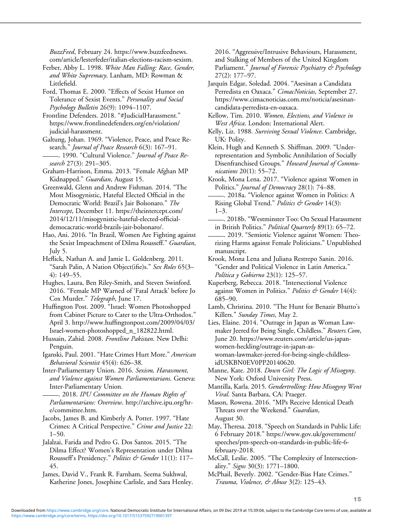BuzzFeed, February 24. [https://www.buzzfeednews.](https://www.buzzfeednews.com/article/lesterfeder/italian-elections-racism-sexism) [com/article/lesterfeder/italian-elections-racism-sexism.](https://www.buzzfeednews.com/article/lesterfeder/italian-elections-racism-sexism)

Ferber, Abby L. 1998. White Man Falling: Race, Gender, and White Supremacy. Lanham, MD: Rowman & Littlefield.

Ford, Thomas E. 2000. "Effects of Sexist Humor on Tolerance of Sexist Events." Personality and Social Psychology Bulletin 26(9): 1094–1107.

Frontline Defenders. 2018. "#JudicialHarassment." [https://www.frontlinedefenders.org/en/violation/](https://www.frontlinedefenders.org/en/violation/judicial-harassment) [judicial-harassment](https://www.frontlinedefenders.org/en/violation/judicial-harassment).

Galtung, Johan. 1969. "Violence, Peace, and Peace Research." Journal of Peace Research 6(3): 167–91. -. 1990. "Cultural Violence." Journal of Peace Re-

search 27(3): 291–305.

Graham-Harrison, Emma. 2013. "Female Afghan MP Kidnapped." Guardian, August 15.

Greenwald, Glenn and Andrew Fishman. 2014. "The Most Misogynistic, Hateful Elected Official in the Democratic World: Brazil's Jair Bolsonaro." The Intercept, December 11. [https://theintercept.com/](https://theintercept.com/2014/12/11/misogynistic-hateful-elected-official-democacratic-world-brazils-jair-bolsonaro/) [2014/12/11/misogynistic-hateful-elected-of](https://theintercept.com/2014/12/11/misogynistic-hateful-elected-official-democacratic-world-brazils-jair-bolsonaro/)ficial[democacratic-world-brazils-jair-bolsonaro/.](https://theintercept.com/2014/12/11/misogynistic-hateful-elected-official-democacratic-world-brazils-jair-bolsonaro/)

Hao, Ani. 2016. "In Brazil, Women Are Fighting against the Sexist Impeachment of Dilma Rousseff." Guardian, July 5.

Heflick, Nathan A. and Jamie L. Goldenberg. 2011. "Sarah Palin, A Nation Object(ifie)s." Sex Roles 65(3-4): 149–55.

Hughes, Laura, Ben Riley-Smith, and Steven Swinford. 2016. "Female MP Warned of 'Fatal Attack' before Jo Cox Murder." Telegraph, June 17.

Huffington Post. 2009. "Israel: Women Photoshopped from Cabinet Picture to Cater to the Ultra-Orthodox." April 3. http://www.huffi[ngtonpost.com/2009/04/03/](http://www.huffingtonpost.com/2009/04/03/Israel-women-photoshopped_n_182822.html) [Israel-women-photoshopped\\_n\\_182822.html.](http://www.huffingtonpost.com/2009/04/03/Israel-women-photoshopped_n_182822.html)

Hussain, Zahid. 2008. Frontline Pakistan. New Delhi: Penguin.

Iganski, Paul. 2001. "Hate Crimes Hurt More." American Behavioral Scientist 45(4): 626–38.

Inter-Parliamentary Union. 2016. Sexism, Harassment, and Violence against Women Parliamentarians. Geneva: Inter-Parliamentary Union.

. 2018. IPU Committee on the Human Rights of Parliamentarians: Overview. [http://archive.ipu.org/hr](http://archive.ipu.org/hr-e/committee.htm)[e/committee.htm.](http://archive.ipu.org/hr-e/committee.htm)

Jacobs, James B. and Kimberly A. Potter. 1997. "Hate Crimes: A Critical Perspective." Crime and Justice 22:  $1-50.$ 

Jalalzai, Farida and Pedro G. Dos Santos. 2015. "The Dilma Effect? Women's Representation under Dilma Rousseff's Presidency." Politics & Gender 11(1): 117-45.

James, David V., Frank R. Farnham, Seema Sukhwal, Katherine Jones, Josephine Carlisle, and Sara Henley. 2016. "Aggressive/Intrusive Behaviours, Harassment, and Stalking of Members of the United Kingdom Parliament." *Journal of Forensic Psychiatry & Psychology* 27(2): 177–97.

Jarquín Edgar, Soledad. 2004. "Asesinan a Candidata Perredista en Oaxaca." CimacNoticias, September 27. [https://www.cimacnoticias.com.mx/noticia/asesinan](https://www.cimacnoticias.com.mx/noticia/asesinan-candidata-perredista-en-oaxaca)[candidata-perredista-en-oaxaca.](https://www.cimacnoticias.com.mx/noticia/asesinan-candidata-perredista-en-oaxaca)

Kellow, Tim. 2010. Women, Elections, and Violence in West Africa. London: International Alert.

Kelly, Liz. 1988. Surviving Sexual Violence. Cambridge, UK: Polity.

Klein, Hugh and Kenneth S. Shiffman. 2009. "Underrepresentation and Symbolic Annihilation of Socially Disenfranchised Groups." Howard Journal of Communications 20(1): 55–72.

Krook, Mona Lena. 2017. "Violence against Women in Politics." Journal of Democracy 28(1): 74-88.

. 2018a. "Violence against Women in Politics: A Rising Global Trend." Politics & Gender 14(3): 1–3.

. 2018b. "Westminster Too: On Sexual Harassment in British Politics." Political Quarterly 89(1): 65-72.

. 2019. "Semiotic Violence against Women: Theorizing Harms against Female Politicians." Unpublished manuscript.

Krook, Mona Lena and Juliana Restrepo Sanin. 2016. "Gender and Political Violence in Latin America." Política y Gobierno 23(1): 125-57.

Kuperberg, Rebecca. 2018. "Intersectional Violence against Women in Politics." Politics & Gender 14(4): 685–90.

Lamb, Christina. 2010. "The Hunt for Benazir Bhutto's Killers." Sunday Times, May 2.

Lies, Elaine. 2014. "Outrage in Japan as Woman Lawmaker Jeered for Being Single, Childless." Reuters. Com, June 20. [https://www.reuters.com/article/us-japan](https://www.reuters.com/article/us-japan-women-heckling/outrage-in-japan-as-woman-lawmaker-jeered-for-being-single-childless-idUSKBN0EV0PP20140620)[women-heckling/outrage-in-japan-as](https://www.reuters.com/article/us-japan-women-heckling/outrage-in-japan-as-woman-lawmaker-jeered-for-being-single-childless-idUSKBN0EV0PP20140620)[woman-lawmaker-jeered-for-being-single-childless](https://www.reuters.com/article/us-japan-women-heckling/outrage-in-japan-as-woman-lawmaker-jeered-for-being-single-childless-idUSKBN0EV0PP20140620)[idUSKBN0EV0PP20140620.](https://www.reuters.com/article/us-japan-women-heckling/outrage-in-japan-as-woman-lawmaker-jeered-for-being-single-childless-idUSKBN0EV0PP20140620)

Manne, Kate. 2018. Down Girl: The Logic of Misogyny. New York: Oxford University Press.

Mantilla, Karla. 2015. Gendertrolling: How Misogyny Went Viral. Santa Barbara, CA: Praeger.

Mason, Rowena. 2016. "MPs Receive Identical Death Threats over the Weekend." Guardian, August 30.

May, Theresa. 2018. "Speech on Standards in Public Life: 6 February 2018." [https://www.gov.uk/government/](https://www.gov.uk/government/speeches/pm-speech-on-standards-in-public-life-6-february-2018) [speeches/pm-speech-on-standards-in-public-life-6](https://www.gov.uk/government/speeches/pm-speech-on-standards-in-public-life-6-february-2018) [february-2018.](https://www.gov.uk/government/speeches/pm-speech-on-standards-in-public-life-6-february-2018)

McCall, Leslie. 2005. "The Complexity of Intersectionality." Signs 30(3): 1771–1800.

McPhail, Beverly. 2002. "Gender-Bias Hate Crimes." Trauma, Violence, & Abuse 3(2): 125-43.